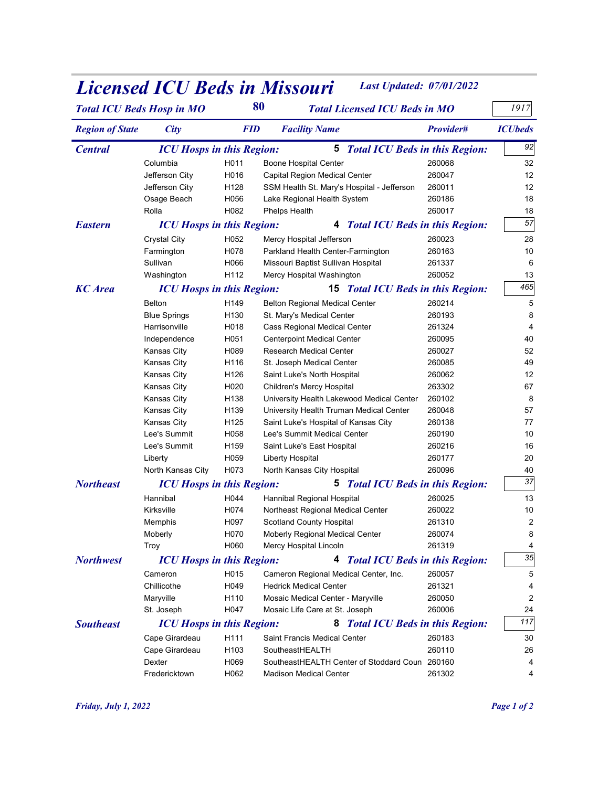|                        |                                             |                          | <b>Licensed ICU Beds in Missouri</b>                                                 | <b>Last Updated: 07/01/2022</b> |                |
|------------------------|---------------------------------------------|--------------------------|--------------------------------------------------------------------------------------|---------------------------------|----------------|
|                        | <b>Total ICU Beds Hosp in MO</b>            | 80                       | <b>Total Licensed ICU Beds in MO</b>                                                 |                                 | 1917           |
| <b>Region of State</b> | <b>City</b>                                 | <b>FID</b>               | <b>Facility Name</b>                                                                 | Provider#                       | <b>ICUbeds</b> |
|                        |                                             |                          |                                                                                      |                                 |                |
| <b>Central</b>         | <b>ICU Hosps in this Region:</b>            |                          | <b>5</b> Total ICU Beds in this Region:                                              |                                 | 92             |
|                        | Columbia<br>Jefferson City                  | H011<br>H016             | Boone Hospital Center<br>Capital Region Medical Center                               | 260068<br>260047                | 32<br>12       |
|                        | Jefferson City                              | H128                     | SSM Health St. Mary's Hospital - Jefferson                                           | 260011                          | 12             |
|                        | Osage Beach                                 | H056                     | Lake Regional Health System                                                          | 260186                          | 18             |
|                        | Rolla                                       | H082                     | Phelps Health                                                                        | 260017                          | 18             |
| <b>Eastern</b>         | <b>ICU Hosps in this Region:</b>            |                          | 4 Total ICU Beds in this Region:                                                     |                                 | 57             |
|                        | <b>Crystal City</b>                         | H052                     | Mercy Hospital Jefferson                                                             | 260023                          | 28             |
|                        | Farmington<br>Sullivan                      | H078<br>H066             | Parkland Health Center-Farmington<br>Missouri Baptist Sullivan Hospital              | 260163<br>261337                | 10<br>6        |
|                        | Washington                                  | H112                     | Mercy Hospital Washington                                                            | 260052                          | 13             |
| <b>KC</b> Area         | <b>ICU Hosps in this Region:</b>            |                          | <b>15</b> Total ICU Beds in this Region:                                             |                                 | 465            |
|                        | Belton                                      | H149                     | <b>Belton Regional Medical Center</b>                                                | 260214                          | 5              |
|                        | <b>Blue Springs</b>                         | H130                     | St. Mary's Medical Center                                                            | 260193                          |                |
|                        | Harrisonville                               | H018<br>H051             | Cass Regional Medical Center                                                         | 261324<br>260095                | 4<br>40        |
|                        | Independence<br>Kansas City                 | H089                     | <b>Centerpoint Medical Center</b><br>Research Medical Center                         | 260027                          | 52             |
|                        | Kansas City                                 | H116                     | St. Joseph Medical Center                                                            | 260085                          | 49             |
|                        | Kansas City                                 | H126                     | Saint Luke's North Hospital                                                          | 260062                          | 12             |
|                        | Kansas City                                 | H020                     | Children's Mercy Hospital                                                            | 263302                          | 67             |
|                        | Kansas City<br>Kansas City                  | H138<br>H139             | University Health Lakewood Medical Center<br>University Health Truman Medical Center | 260102<br>260048                | 8<br>57        |
|                        | Kansas City                                 | H125                     | Saint Luke's Hospital of Kansas City                                                 | 260138                          | 77             |
|                        | Lee's Summit                                | H058                     | Lee's Summit Medical Center                                                          | 260190                          | 10             |
|                        | Lee's Summit                                | H159                     | Saint Luke's East Hospital                                                           | 260216                          | 16             |
|                        | Liberty<br>North Kansas City                | H059<br>H073             | <b>Liberty Hospital</b><br>North Kansas City Hospital                                | 260177<br>260096                | 20<br>40       |
| <b>Northeast</b>       | <b>ICU Hosps in this Region:</b>            |                          | <b>5</b> Total ICU Beds in this Region:                                              |                                 | 37             |
|                        | Hannibal                                    | H044                     | Hannibal Regional Hospital                                                           | 260025                          | 13             |
|                        | Kirksville                                  | H074                     | Northeast Regional Medical Center                                                    | 260022                          | 10             |
|                        | Memphis                                     | H097                     | <b>Scotland County Hospital</b>                                                      | 261310                          | $\overline{2}$ |
|                        | Moberly                                     | H070                     | Moberly Regional Medical Center                                                      | 260074                          | 8              |
|                        | Troy                                        | H060                     | Mercy Hospital Lincoln                                                               | 261319                          | $35\,$         |
| <b>Northwest</b>       | <b>ICU Hosps in this Region:</b><br>Cameron | H015                     | 4 Total ICU Beds in this Region:<br>Cameron Regional Medical Center, Inc.            | 260057                          | 5              |
|                        | Chillicothe                                 | H049                     | <b>Hedrick Medical Center</b>                                                        | 261321                          |                |
|                        | Maryville                                   | H110                     | Mosaic Medical Center - Maryville                                                    | 260050                          | 2              |
|                        | St. Joseph                                  | H047                     | Mosaic Life Care at St. Joseph                                                       | 260006                          | 24             |
| <b>Southeast</b>       | <b>ICU Hosps in this Region:</b>            |                          | 8 Total ICU Beds in this Region:                                                     |                                 | 117            |
|                        | Cape Girardeau                              | H111                     | Saint Francis Medical Center                                                         | 260183                          | 30             |
|                        | Cape Girardeau<br>Dexter                    | H <sub>103</sub><br>H069 | SoutheastHEALTH<br>SoutheastHEALTH Center of Stoddard Coun 260160                    | 260110                          | 26<br>4        |
|                        | Fredericktown                               | H062                     | <b>Madison Medical Center</b>                                                        | 261302                          | 4              |
|                        |                                             |                          |                                                                                      |                                 |                |
|                        | Friday, July 1, 2022                        |                          |                                                                                      |                                 | Page 1 of 2    |
|                        |                                             |                          |                                                                                      |                                 |                |

## **Licensed ICU Beds in Missouri** Last Updated: 07/01/2022